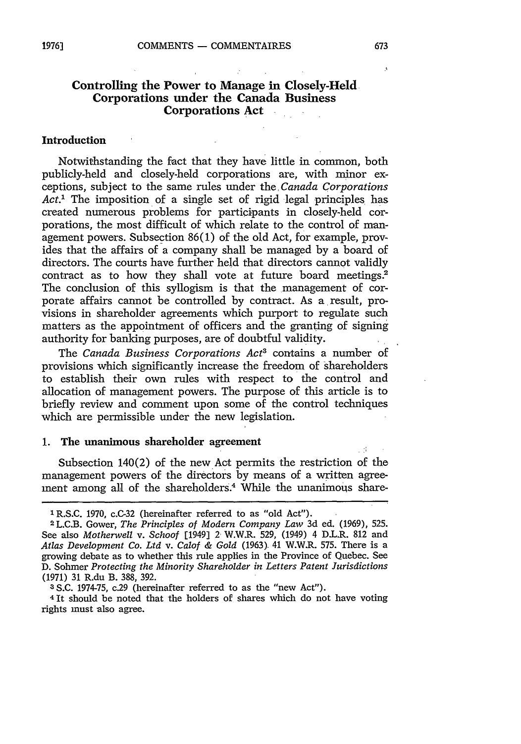#### **Controlling the Power to Manage in Closely-Held Corporations under the Canada Business Corporations Act**  $\Delta \sim 10^{-11}$

#### **Introduction**

Notwithstanding the fact that they have little in common, both publicly-held and closely-held corporations are, with minor exceptions, subject to the same rules under the *Canada Corporations Act."* The imposition of a single set of rigid legal principles has created numerous problems for participants in closely-held corporations, the most difficult of which relate to the control of management powers. Subsection 86(1) of the old Act, for example, provides that the affairs of a company shall be managed by a board of directors. The courts have further held that directors cannot validly contract as to how they shall vote at future board meetings.<sup>2</sup> The conclusion of this syllogism is that the management of corporate affairs cannot be controlled by contract. As a result, provisions in shareholder agreements which purport to regulate such matters as the appointment of officers and the granting of signing authority for banking purposes, are of doubtful validity.

The *Canada Business Corporations Act<sup>3</sup>* contains a number of provisions which significantly increase the freedom of shareholders to establish their own rules with respect to the control and allocation of management powers. The purpose of this article is to briefly review and comment upon some of the control techniques which are permissible under the new legislation.

#### **1.** The unanimous shareholder agreement

Subsection 140(2) of the new Act permits the restriction of the management powers of the directors by means of a written agreement among all of the shareholders.<sup>4</sup> While the unanimous share-

4 It should be noted that the holders of shares which do not have voting rights must also agree.

 $\mathbf{A}$ 

<sup>&#</sup>x27;R.S.C. 1970, c.C-32 (hereinafter referred to as "old Act").

<sup>2</sup>L.C.B. Gower, *The Principles of Modern Company Law* 3d ed. (1969), 525. See also *Motherwell v. Schoof* [1949] 2 W.W.R. 529, (1949) 4 D.L.R. 812 and *Atlas Development Co. Ltd v. Calof & Gold* (1963) 41 W.W.R. 575. There is a growing debate as to whether this rule applies in the Province of Quebec. See D. Sohmer *Protecting the Minority Shareholder in Letters Patent Jurisdictions* (1971) **31** R.du B. 388, 392.

<sup>3</sup> S.C. 1974-75, c.29 (hereinafter referred to as the "new Act").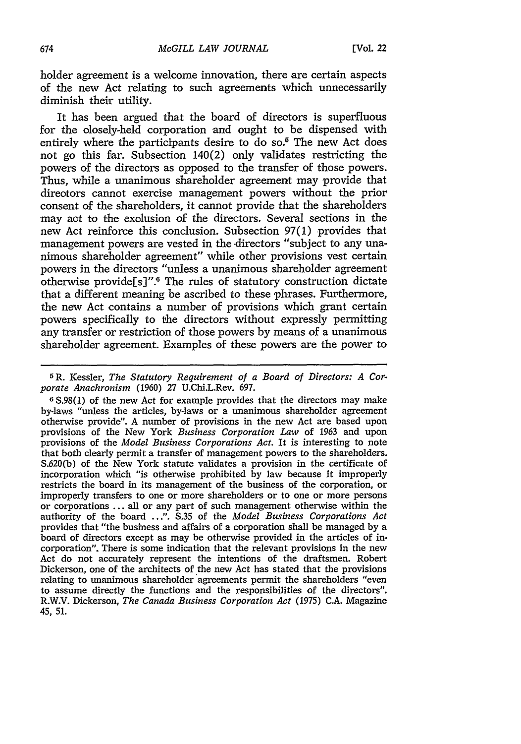holder agreement is a welcome innovation, there are certain aspects of the new Act relating to such agreements which unnecessarily diminish their utility.

It has been argued that the board of directors is superfluous for the olosely-held corporation and ought to be dispensed with entirely where the participants desire to do so.<sup>5</sup> The new Act does not go this far. Subsection 140(2) only validates restricting the powers of the directors as opposed to the transfer of those powers. Thus, while a unanimous shareholder agreement may provide that directors cannot exercise management powers without the prior consent of the shareholders, it cannot provide that the shareholders may act to the exclusion of the directors. Several sections in the new Act reinforce this conclusion. Subsection **97(1)** provides that management powers are vested in the directors "subject to any unanimous shareholder agreement" while other provisions vest certain powers in the directors "unless a unanimous shareholder agreement otherwise provide[s]".<sup>6</sup> The rules of statutory construction dictate that a different meaning be ascribed to these phrases. Furthermore, the new Act contains a number of provisions which grant certain powers specifically to the directors without expressly permitting any transfer or restriction of those powers **by** means of a unanimous shareholder agreement. Examples of these powers are the power to

**<sup>5</sup>**R. Kessler, *The Statutory Requirement of a Board of Directors: A Corporate Anachronism* **(1960) 27** U.Chi.L.Rev. **697.**

**6 S.98(1)** of the new Act for example provides that the directors may make by-laws "unless the articles, by-laws or a unanimous shareholder agreement otherwise provide". **A** number of provisions in the new Act are based upon provisions of the New York *Business Corporation Law* of **1963** and upon provisions of the *Model Business Corporations Act.* It is interesting to note that both clearly permit a transfer of management powers to the shareholders. **S.620(b)** of the New York statute validates a provision in the certificate of incorporation which "is otherwise prohibited **by** law because it improperly restricts the board in its management of the business of the corporation, or improperly transfers to one or more shareholders or to one or more persons or corporations **...** all or any part of such management otherwise within the authority of the board **.. .". S.35** of the *Model Business Corporations Act* provides that "the business and affairs of a corporation shall be managed **by** a board of directors except as may be otherwise provided in the articles of incorporation". There is some indication that the relevant provisions in the new Act do not accurately represent the intentions of the draftsmen. Robert Dickerson, one of the architects of the new Act has stated that the provisions relating to unanimous shareholder agreements permit the shareholders "even to assume directly the functions and the responsibilities of the directors". R.W.V. Dickerson, *The Canada Business Corporation Act* **(1975) C.A.** Magazine 45, 51.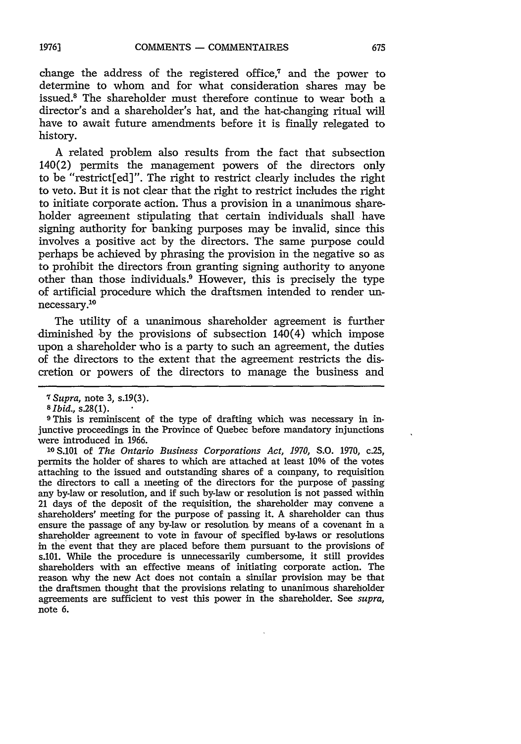change the address of the registered office,7 and the power to determine to whom and for what consideration shares may be issued.8 The shareholder must therefore continue to wear both a director's and a shareholder's hat, and the hat-changing ritual will have to await future amendments before it is finally relegated to history.

A related problem also results from the fact that subsection 140(2) permits the management powers of the directors only to be "restrict[ed]". The right to restrict clearly includes the right to veto. But it is not clear that the right to restrict includes the right to initiate corporate action. Thus a provision in a unanimous shareholder agreement stipulating that certain individuals shall have signing authority for banking purposes may be invalid, since this involves a positive act by the directors. The same purpose could perhaps be achieved by phrasing the provision in the negative so as to prohibit the directors from granting signing authority to anyone other than those individuals.<sup>9</sup> However, this is precisely the type of artificial procedure which the draftsmen intended to render unnecessary.10

The utility of a unanimous shareholder agreement is further diminished by the provisions of subsection 140(4) which impose upon a shareholder who is a party to such an agreement, the duties of the directors to the extent that the agreement restricts the discretion or powers of the directors to manage the business and

**<sup>10</sup>**S.101 of *The Ontario Business Corporations Act, 1970,* **S.O.** 1970, c.25, permits the holder of shares to which are attached at least 10% of the votes attaching to the issued and outstanding shares of a company, to requisition the directors to call a meeting of the directors for the purpose of passing any by-law or resolution, and if such by-law or resolution is not passed within 21 days of the deposit of the requisition, the shareholder may convene a shareholders' meeting for the purpose of passing it. A shareholder can thus ensure the passage of any by-law or resolution by means of a covenant in a shareholder agreement to vote in favour of specified by-laws or resolutions in the event that they are placed before them pursuant to the provisions of s.101. While the procedure is unnecessarily cumbersome, it still provides shareholders with an effective means of initiating corporate action. The reason why the new Act does not contain a similar provision may be that the draftsmen thought that the provisions relating to unanimous shareholder agreements are sufficient to vest this power in the shareholder. See *supra,* note **6.**

*<sup>7</sup>Supra,* note 3, s.19(3).

*<sup>8</sup> Ibid.,* s.28(1).

**<sup>9</sup>** This is reminiscent of the type of drafting which was necessary in injunctive proceedings in the Province of Quebec before mandatory injunctions were introduced in 1966.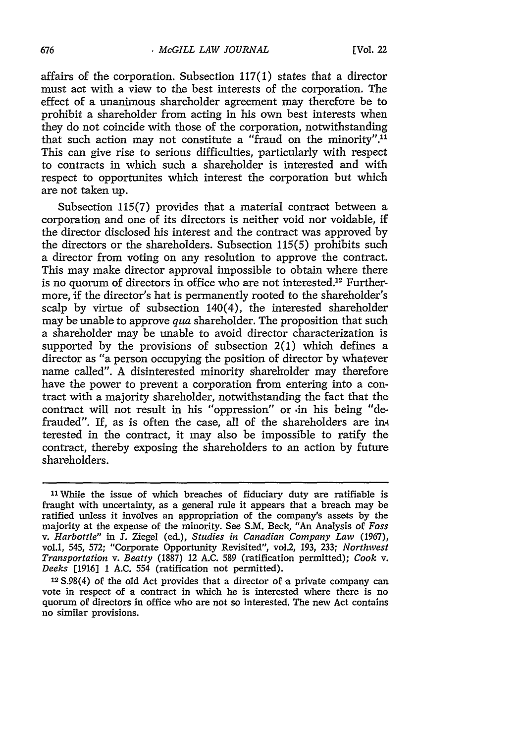affairs of the corporation. Subsection 117(1) states that a director must act with a view to the best interests of the corporation. The effect of a unanimous shareholder agreement may therefore be to prohibit a shareholder from acting in his own best interests when they do not coincide with those of the corporation, notwithstanding that such action may not constitute a "fraud on the minority".<sup>11</sup> This can give rise to serious difficulties, particularly with respect to contracts in which such a shareholder is interested and with respect to opportunites which interest the corporation but which are not taken up.

Subsection 115(7) provides that a material contract between a corporation and one of its directors is neither void nor voidable, if the director disclosed his interest and the contract was approved by the directors or the shareholders. Subsection 115(5) prohibits such a director from voting on any resolution to approve the contract. This may make director approval impossible to obtain where there is no quorum of directors in office who are not interested.<sup>12</sup> Furthermore, if the director's hat is permanently rooted to the shareholder's scalp by virtue of subsection 140(4), the interested shareholder may be unable to approve *qua* shareholder. The proposition that such a shareholder may be unable to avoid director characterization is supported by the provisions of subsection 2(1) which defines a director as "a person occupying the position of director by whatever name called". A disinterested minority shareholder may therefore have the power to prevent a corporation from entering into a contract with a majority shareholder, notwithstanding the fact that the contract will not result in his "oppression" or .in his being "defrauded". If, as is often the case, all of the shareholders are interested in the contract, it may also be impossible to ratify the contract, thereby exposing the shareholders to an action by future shareholders.

**<sup>1</sup>**While the issue of which breaches of fiduciary duty are ratifiable is fraught with uncertainty, as a general rule it appears that a breach may be ratified unless it involves an appropriation of the company's assets by the majority at the expense of the minority. See S.M. Beck, *"An* Analysis of *Foss v. Harbottle" in* J. Ziegel (ed.), *Studies in Canadian Company Law* (1967), vol.1, 545, 572; "Corporate Opportunity Revisited", vol.2, 193, 233; *Northwest Transportation v. Beatty* (1887) 12 A.C. 589 (ratification permitted); *Cook v. Deeks* [1916] 1 A.C. 554 (ratification not permitted).

**<sup>12</sup>**S.98(4) of the old Act provides that a director of a private company can vote in respect of a contract in which he is interested where there is no quorum of directors in office who are not so interested. The new Act contains no similar provisions.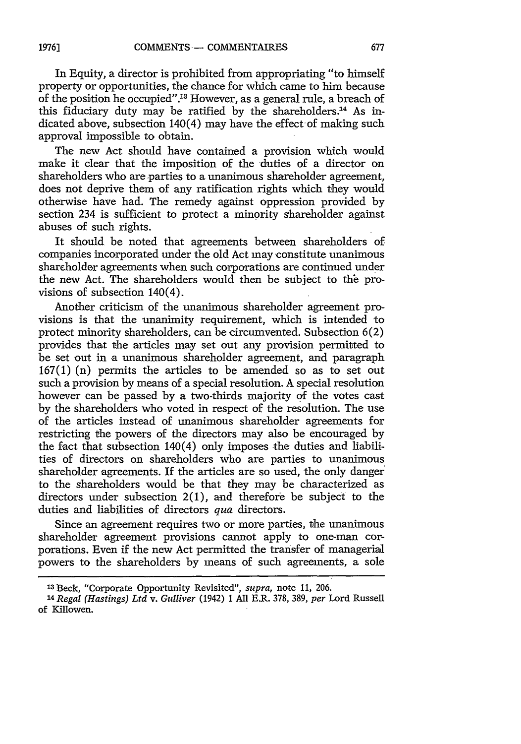In Equity, a director is prohibited from appropriating "to himself property or opportunities, the chance for which came to him because of the position he occupied".13 However, as a general rule, a breach of this fiduciary duty may be ratified by the shareholders.<sup>14</sup> As indicated above, subsection 140(4) may have the effect of making such approval impossible to obtain.

The new Act should have contained a provision which would make it clear that the imposition of the duties of a director on shareholders who are parties to a unanimous shareholder agreement, does not deprive them of any ratification rights which they would otherwise have had. The remedy against oppression provided by section 234 is sufficient to protect a minority shareholder against abuses of such rights.

It should be noted that agreements between shareholders of companies incorporated under the old Act may constitute unanimous shareholder agreements when such corporations are continued under the new Act. The shareholders would then be subject to the provisions of subsection 140(4).

Another criticism of the unanimous shareholder agreement provisions is that the unanimity requirement, which is intended to protect minority shareholders, can be circumvented. Subsection 6(2) provides that the articles may set out any provision permitted to be set out in a unanimous shareholder agreement, and paragraph 167(1) (n) permits the articles to be amended so as to set out such a provision by means of a special resolution. A special resolution however can be passed by a two-thirds majority of the votes cast by the shareholders who voted in respect of the resolution. The use of the articles instead of unanimous shareholder agreements for restricting the powers of the directors may also be encouraged by the fact that subsection  $140(4)$  only imposes the duties and liabilities of directors on shareholders who are parties to unanimous shareholder agreements. If the articles are so used, the only danger to the shareholders would be that they may be characterized as directors under subsection 2(1), and therefore be subject to the duties and liabilities of directors *qua* directors.

Since an agreement requires two or more parties, the unanimous shareholder agreement provisions cannot apply to one-man corporations. Even if the new Act permitted the transfer of managerial powers to the shareholders by means of such agreements, a sole

<sup>13</sup>Beck, "Corporate Opportunity Revisited", *supra,* note 11, 206.

*<sup>14</sup>Regal (Hastings) Ltd v. Gulliver* (1942) 1 All E.R. 378, 389, *per* Lord Russell of Killowen.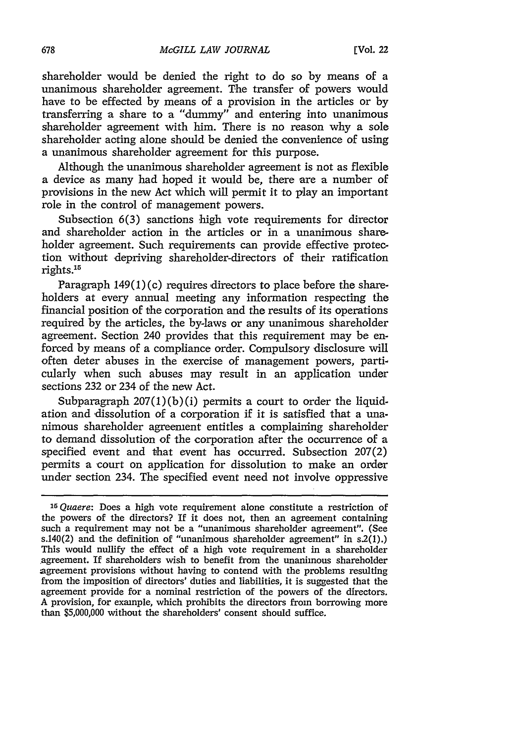shareholder would be denied the right to do so by means of a unanimous shareholder agreement. The transfer of powers would have to be effected by means of a provision in the articles or by transferring a share to a "dummy" and entering into unanimous shareholder agreement with him. There is no reason why a sole shareholder acting alone should be denied the convenience of using a unanimous shareholder agreement for this purpose.

Although the unanimous shareholder agreement is not as flexible a device as many had hoped it would be, there are a number of provisions in the new Act which will permit it to play an important role in the control of management powers.

Subsection  $6(3)$  sanctions high vote requirements for director and shareholder action in the articles or in a unanimous shareholder agreement. Such requirements can provide effective protection without depriving shareholder-directors of their ratification rights.15

Paragraph  $149(1)(c)$  requires directors to place before the shareholders at every annual meeting any information respecting the financial position of the corporation and the results of its operations required by the articles, the by-laws or any unanimous shareholder agreement. Section 240 provides that this requirement may be enforced by means of a compliance order. Compulsory disclosure will often deter abuses in the exercise of management powers, particularly when such abuses may result in an application under sections 232 or 234 of the new Act.

Subparagraph  $207(1)(b)(i)$  permits a court to order the liquidation and dissolution of a corporation if it is satisfied that a unanimous shareholder agreement entitles a complaining shareholder to demand dissolution of the corporation after the occurrence of a specified event and that event has occurred. Subsection 207(2) permits a court on application for dissolution to make an order under section 234. The specified event need not involve oppressive

*<sup>15</sup> Quaere:* Does a high vote requirement alone constitute a restriction of the powers of the directors? If it does not, then an agreement containing such a requirement may not be a "unanimous shareholder agreement". (See s.140(2) and the definition of "unanimous shareholder agreement" in  $s(1)$ .) This would nullify the effect of a high vote requirement in a shareholder agreement. If shareholders wish to benefit from the unanimous shareholder agreement provisions without having to contend with the problems resulting from the imposition of directors' duties and liabilities, it is suggested that the agreement provide for a nominal restriction of the powers of the directors. A provision, for example, which prohibits the directors from borrowing more than **\$5,000,000** without the shareholders' consent should suffice.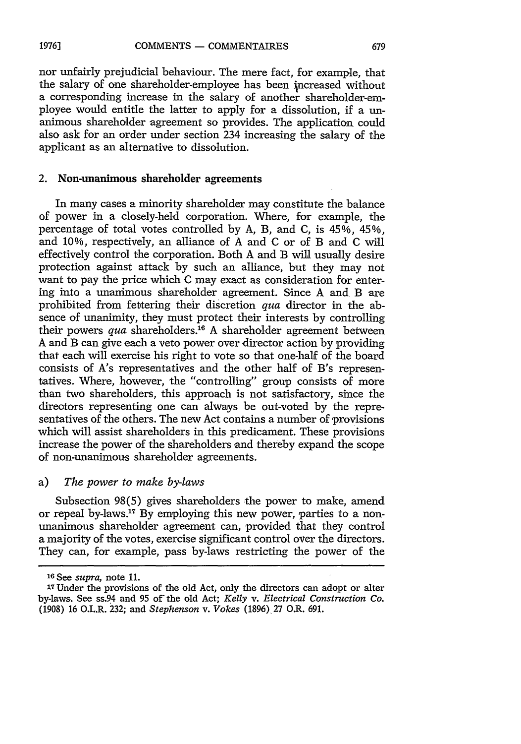nor unfairly prejudicial behaviour. The mere fact, for example, that the salary of one shareholder-employee has been increased without a corresponding increase in the salary of another shareholder-employee would entitle the latter to apply for a dissolution, if a unanimous shareholder agreement so provides. The application could also ask for an order under section 234 increasing the salary of the applicant as an alternative to dissolution.

#### 2. Non-unanimous shareholder agreements

In many cases a minority shareholder may constitute the balance of power in a closely-held corporation. Where, for example, the percentage of total votes controlled by A, B, and C, is 45%, 45%, and 10%, respectively, an alliance of A and C or of B and C will effectively control the corporation. Both A and B will usually desire protection against attack by such an alliance, but they may not want to pay the price which C may exact as consideration for entering into a unanimous shareholder agreement. Since A and B are prohibited from fettering their discretion *qua* director in the absence of unanimity, they must protect their interests by controlling their powers *qua* shareholders.<sup>16</sup> A shareholder agreement between A and B can give each a veto power over director action by providing that each will exercise his right to vote so that one-half of the board consists of A's representatives and the other half of B's representatives. Where, however, the "controlling" group consists of more than two shareholders, this approach is not satisfactory, since the directors representing one can always be out-voted by the representatives of the others. The new Act contains a number of provisions which will assist shareholders in this predicament. These provisions increase the power of the shareholders and thereby expand the scope of non-unanimous shareholder agreements.

## a) *The power to make by-laws*

Subsection 98(5) gives shareholders the power to make, amend or repeal by-laws.<sup>17</sup> By employing this new power, parties to a nonunanimous shareholder agreement can, provided that they control a majority of the votes, exercise significant control over the directors. They can, for example, pass by-laws restricting the power of the

*<sup>&#</sup>x27;16* See *supra,* note 11.

<sup>17</sup>Under the provisions of the old Act, only the directors can adopt or alter by-laws. See ss.94 and 95 of the old Act; *Kelly v. Electrical Construction Co.* (1908) 16 O.L.R. 232; and *Stephenson v. Vokes* (1896) 27 O.R. 691.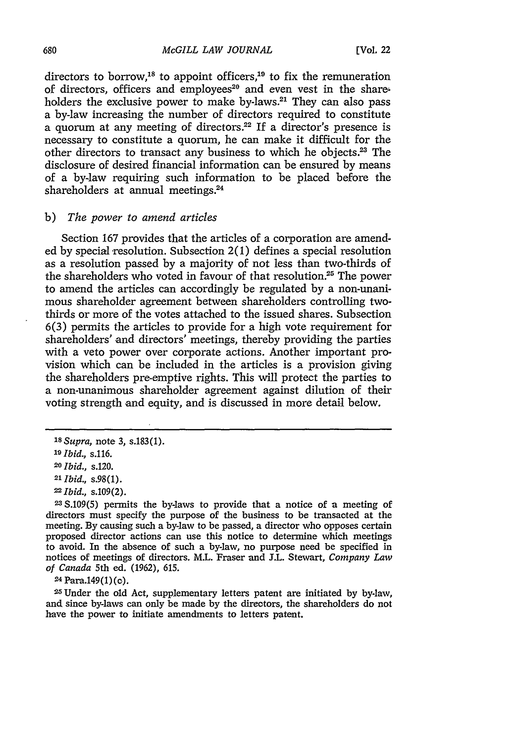directors to borrow,<sup>18</sup> to appoint officers,<sup>19</sup> to fix the remuneration of directors, officers and employees<sup>20</sup> and even vest in the shareholders the exclusive power to make by-laws.<sup>21</sup> They can also pass a by-law increasing the number of directors required to constitute a quorum at any meeting of directors.<sup>22</sup> If a director's presence is necessary to constitute a quorum, he can make it difficult for the other directors to transact any business to which he objects.<sup>23</sup> The disclosure of desired financial information can be ensured by means of a by-law requiring such information to be placed before the shareholders at annual meetings.<sup>24</sup>

## b) *The power to amend articles*

Section 167 provides that the articles of a corporation are amended by special resolution. Subsection  $2(1)$  defines a special resolution as a resolution passed by a majority of not less than two-thirds of the shareholders who voted in favour of that resolution.<sup>25</sup> The power to amend the articles can accordingly be regulated by a non-unanimous shareholder agreement between shareholders controlling twothirds or more of the votes attached to the issued shares. Subsection 6(3) permits the articles to provide for a high vote requirement for shareholders' and directors' meetings, thereby providing the parties with a veto power over corporate actions. Another important provision which can be included in the articles is a provision giving the shareholders pre-emptive rights. This will protect the parties to a non-unanimous shareholder agreement against dilution **of** their voting strength and equity, and is discussed in more detail below.

**<sup>24</sup>**Para.149(1) (c).

25Under the old Act, supplementary letters patent are initiated by by-law, and since by-laws can only be made by the directors, the shareholders do not have the power to initiate amendments to letters patent.

*<sup>18</sup>Supra,* note 3, s.183(1).

*<sup>&</sup>quot;) Ibid., s.116.*

*<sup>20</sup>Ibid.,* s.120.

*<sup>21</sup> Ibid.,* s.98(1).

*<sup>22</sup>Ibid.,* s.109(2).

**<sup>23</sup>**S.109(5) permits the by-laws to provide that a notice of a meeting of directors must specify the purpose of the business to be transacted at the meeting. By causing such a by-law to be passed, a director who opposes certain proposed director actions can use this notice to determine which meetings to avoid. In the absence of such a by-law, no purpose need be specified in notices of meetings of directors. M.L. Fraser and S.L. Stewart, *Company Law of Canada* 5th ed. (1962), 615.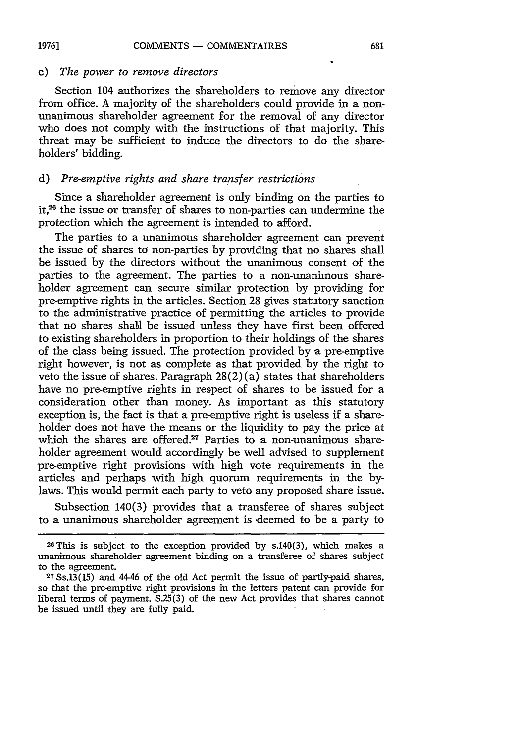#### COMMENTS - COMMENTAIRES **1976]**

## c) *The power to remove directors*

Section 104 authorizes the shareholders to remove any director from office. **A** majority of the shareholders could provide in a nonunanimous shareholder agreement for the removal of any director who does not comply with the instructions of that majority. This threat may be sufficient to induce the directors to do the shareholders' bidding.

## *d) Pre-emptive rights and share transfer restrictions*

Since a shareholder agreement is only binding on the parties to it, $2<sup>6</sup>$  the issue or transfer of shares to non-parties can undermine the protection which the agreement is intended to afford.

The parties to a unanimous shareholder agreement can prevent the issue of shares to non-parties by providing that no shares shall be issued by the directors without the unanimous consent of the parties to the agreement. The parties to a non-unanimous shareholder agreement can secure similar protection by providing for pre-emptive rights in the articles. Section 28 gives statutory sanction to the administrative practice of permitting the articles to provide that no shares shall be issued unless they have first been offered to existing shareholders in proportion to their holdings of the shares of the class being issued. The protection provided by a pre-emptive right however, is not as complete as that provided by the right to veto the issue of shares. Paragraph  $28(2)(a)$  states that shareholders have no pre-emptive rights in respect of shares to be issued for a consideration other than money. As important as this statutory exception is, the fact is that a pre-emptive right is useless if a shareholder does not have the means or the liquidity to pay the price at which the shares are offered.<sup>27</sup> Parties to a non-unanimous shareholder agreement would accordingly be well advised to supplement pre-emptive right provisions with high vote requirements in the articles and perhaps with high quorum requirements in the bylaws. This would permit each party to veto any proposed share issue.

Subsection 140(3) provides that a transferee of shares subject to a unanimous shareholder agreement is deemed to be a party to

 $26$  This is subject to the exception provided by s.140(3), which makes a unanimous shareholder agreement binding on a transferee of shares subject to the agreement.

**<sup>27</sup>**Ss.13(15) and 44-46 of the old Act permit the issue of partly-paid shares, so that the pre-emptive right provisions in the letters patent can provide for liberal terms of payment. S.25(3) of the new Act provides that shares cannot be issued until they are fully paid.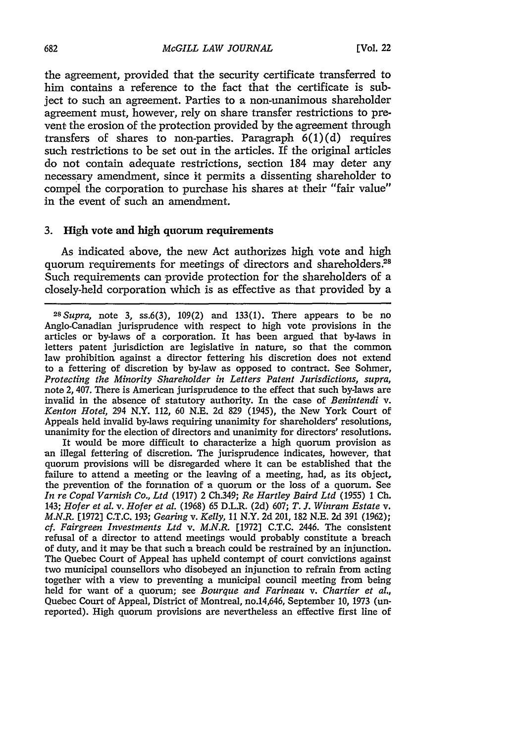the agreement, provided that the security certificate transferred to him contains a reference to the fact that the certificate is subject to such an agreement. Parties to a non-unanimous shareholder agreement must, however, rely on share transfer restrictions to prevent the erosion of the protection provided by the agreement through transfers of shares to non-parties. Paragraph  $6(1)(d)$  requires such restrictions to be set out in the articles. If the original articles do not contain adequate restrictions, section 184 may deter any necessary amendment, since it permits a dissenting shareholder to compel the corporation to purchase his shares at their "fair value" in the event of such an amendment.

#### 3. High vote and high quorum requirements

As indicated above, the new Act authorizes high vote and high quorum requirements for meetings of directors and shareholders.<sup>28</sup> Such requirements can provide protection for the shareholders of a closely-held corporation which is as effective as that provided by a

It would be more difficult to characterize a high quorum provision as an illegal fettering of discretion. The jurisprudence indicates, however, that quorum provisions will be disregarded where it can be established that the failure to attend a meeting or the leaving of a meeting, had, as its object, the prevention of the formation of a quorum or the loss of a quorum. See *In re Copal Varnish Co., Ltd* (1917) 2 Ch.349; *Re Hartley Baird Ltd* (1955) 1 Ch. 143; *Hofer et al. v. Hofer et al.* (1968) 65 D.L.R. (2d) 607; *T. J. Winram Estate v. M.N.R.* [1972] C.T.C. 193; *Gearing v. Kelly,* **11** N.Y. 2d 201, 182 N.E. 2d 391 (1962); *cf. Fairgreen Investments Ltd v. M.N.R.* [1972] C.T.C. 2446. The consistent refusal of a director to attend meetings would probably constitute a breach of duty, and it may be that such a breach could be restrained by an injunction. The Quebec Court of Appeal has upheld contempt of court convictions against two municipal counsellors who disobeyed an injunction to refrain from acting together with a view to preventing a municipal council meeting from being held for want of a quorum; see *Bourque and Farineau v. Chartier et al.,* Quebec Court of Appeal, District of Montreal, no.14,646, September **10,** 1973 (unreported). High quorum provisions are nevertheless an effective first line of

*<sup>28</sup> Supra,* note 3, ss.6(3), 109(2) and 133(1). There appears to be no Anglo-Canadian jurisprudence with respect to high vote provisions in the articles or by-laws of a corporation. It has been argued that by-laws in letters patent jurisdiction are legislative in nature, so that the common law prohibition against a director fettering his discretion does not extend to a fettering of discretion by by-law as opposed to contract. See Sohmer, *Protecting the Minority Shareholder in Letters Patent Jurisdictions, supra,* note 2, 407. There is American jurisprudence to the effect that such by-laws are invalid in the absence of statutory authority. In the case of *Benintendi v. Kenton Hotel,* 294 N.Y. 112, 60 N.E. 2d 829 (1945), the New York Court of Appeals held invalid by-laws requiring unanimity for shareholders' resolutions, unanimity for the election of directors and unanimity for directors' resolutions.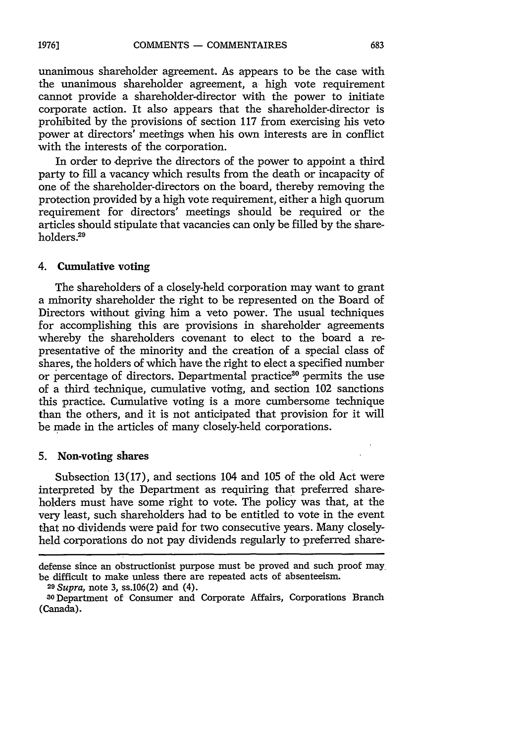unanimous shareholder agreement. As appears to be the case with the unanimous shareholder agreement, a high vote requirement cannot provide a shareholder-director with the power to initiate corporate action. It also appears that the shareholder-director is prohibited by the provisions of section 117 from exercising his veto power at directors' meetings when his own interests are in conflict with the interests of the corporation.

In order to deprive the directors of the power to appoint a third party to fill a vacancy which results from the death or incapacity of one of the shareholder-directors on the board, thereby removing the protection provided by a high vote requirement, either a high quorum requirement for directors' meetings should be required or the articles should stipulate that vacancies can only be filled by the shareholders.<sup>29</sup>

## 4. Cumulative voting

The shareholders of a closely-held corporation may want to grant a minority shareholder the right to be represented on the Board of Directors without giving him a veto power. The usual techniques for accomplishing this are provisions in shareholder agreements whereby the shareholders covenant to elect to the board a representative of the minority and the creation of a special class of shares, the holders of which have the right to elect a specified number or percentage of directors. Departmental practice<sup>30</sup> permits the use of a third technique, cumulative voting, and section 102 sanctions this practice. Cumulative voting is a more cumbersome technique than the others, and it is not anticipated that provision for it will be made in the articles of many closely-held corporations.

#### **5.** Non-voting shares

Subsection 13(17), and sections 104 and 105 of the old Act were interpreted by the Department as requiring that preferred shareholders must have some right to vote. The policy was that, at the very least, such shareholders had to be entitled to vote in the event that no dividends were paid for two consecutive years. Many closelyheld corporations do not pay dividends regularly to preferred share-

defense since an obstructionist purpose must be proved and such proof maybe difficult to make unless there are repeated acts of absenteeism. *<sup>29</sup> Supra,* note 3, ss.106(2) and (4).

**<sup>0</sup>** Department of Consumer and Corporate Affairs, Corporations Branch (Canada).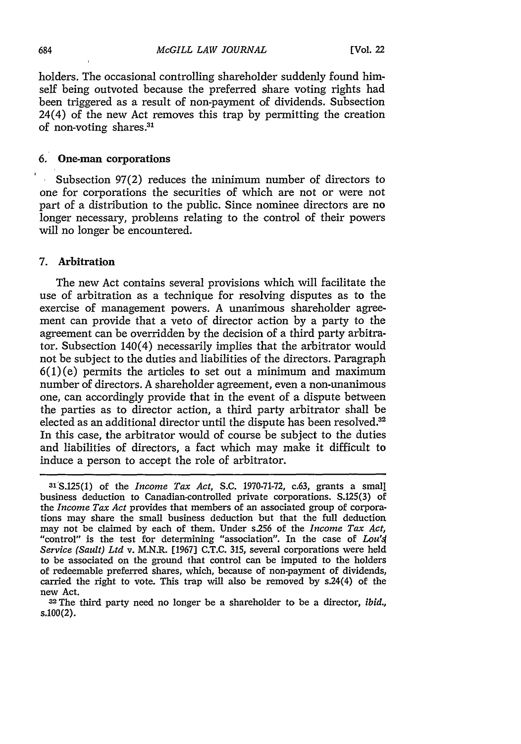holders. The occasional controlling shareholder suddenly found himself being outvoted because the preferred share voting rights had been triggered as a result of non-payment of dividends. Subsection 24(4) of the new Act removes this trap by permitting the creation of non-voting shares. <sup>31</sup>

## 6. One-man corporations

Subsection 97(2) reduces the minimum number of directors to one for corporations the securities of which are not or were not part of a distribution to the public. Since nominee directors are no longer necessary, problems relating to the control of their powers will no longer be encountered.

## 7. Arbitration

The new Act contains several provisions which will facilitate the use of arbitration as a technique for resolving disputes as to the exercise of management powers. A unanimous shareholder agreement can provide that a veto of director action by a party to the agreement can be overridden by the decision of a third party arbitrator. Subsection 140(4) necessarily implies that the arbitrator would not be subject to the duties and liabilities of the directors. Paragraph  $6(1)(e)$  permits the articles to set out a minimum and maximum number of directors. A shareholder agreement, even a non-unanimous one, can accordingly provide that in the event of a dispute between the parties as to director action, a third party arbitrator shall be elected as an additional director until the dispute has been resolved.<sup>32</sup> In this case, the arbitrator would of course be subject to the duties and liabilities of directors, a fact which may make it difficult to induce a person to accept the role of arbitrator.

<sup>3&#</sup>x27;S.125(1) of the *Income Tax Act,* S.C. 1970-71-72, c.63, grants a small business deduction to Canadian-controlled private corporations. S.125(3) of the *Income Tax Act* provides that members of an associated group of corporations may share the small business deduction but that the full deduction may not be claimed by each of them. Under s.256 of the *Income Tax Act,* "control" is the test for determining "association". In the case of *Lou'4 Service (Sault) Ltd* v. M.N.R. [1967] C.T.C. 315, several corporations were held to be associated on the ground that control can be imputed to the holders of redeemable preferred shares, which, because of non-payment of dividends, carried the right to vote. This trap will also be removed by s.24(4) of the new Act.

<sup>&</sup>lt;sup>32</sup> The third party need no longer be a shareholder to be a director, *ibid.*, s.100(2).